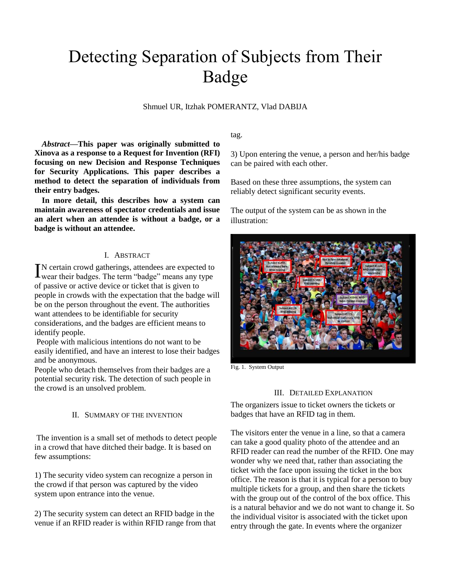# Detecting Separation of Subjects from Their Badge

Shmuel UR, Itzhak POMERANTZ, Vlad DABIJA

*Abstract***—This paper was originally submitted to Xinova as a response to a Request for Invention (RFI) focusing on new Decision and Response Techniques for Security Applications. This paper describes a method to detect the separation of individuals from their entry badges.** 

**In more detail, this describes how a system can maintain awareness of spectator credentials and issue an alert when an attendee is without a badge, or a badge is without an attendee.**

### I. ABSTRACT

N certain crowd gatherings, attendees are expected to IN certain crowd gatherings, attendees are expected to wear their badges. The term "badge" means any type of passive or active device or ticket that is given to people in crowds with the expectation that the badge will be on the person throughout the event. The authorities want attendees to be identifiable for security considerations, and the badges are efficient means to identify people.

People with malicious intentions do not want to be easily identified, and have an interest to lose their badges and be anonymous.

People who detach themselves from their badges are a potential security risk. The detection of such people in the crowd is an unsolved problem.

#### II. SUMMARY OF THE INVENTION

The invention is a small set of methods to detect people in a crowd that have ditched their badge. It is based on few assumptions:

1) The security video system can recognize a person in the crowd if that person was captured by the video system upon entrance into the venue.

2) The security system can detect an RFID badge in the venue if an RFID reader is within RFID range from that tag.

3) Upon entering the venue, a person and her/his badge can be paired with each other.

Based on these three assumptions, the system can reliably detect significant security events.

The output of the system can be as shown in the illustration:



Fig. 1. System Output

#### III. DETAILED EXPLANATION

The organizers issue to ticket owners the tickets or badges that have an RFID tag in them.

The visitors enter the venue in a line, so that a camera can take a good quality photo of the attendee and an RFID reader can read the number of the RFID. One may wonder why we need that, rather than associating the ticket with the face upon issuing the ticket in the box office. The reason is that it is typical for a person to buy multiple tickets for a group, and then share the tickets with the group out of the control of the box office. This is a natural behavior and we do not want to change it. So the individual visitor is associated with the ticket upon entry through the gate. In events where the organizer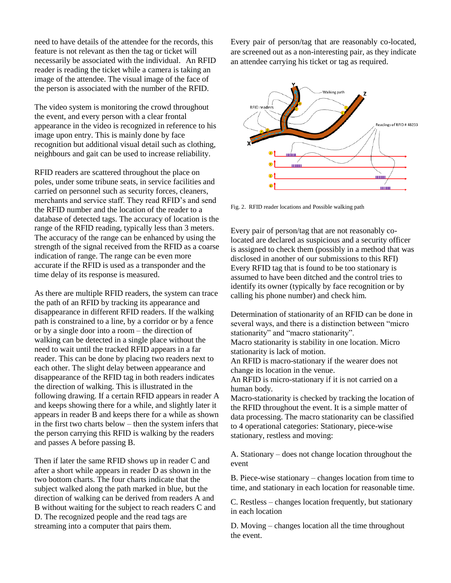need to have details of the attendee for the records, this feature is not relevant as then the tag or ticket will necessarily be associated with the individual. An RFID reader is reading the ticket while a camera is taking an image of the attendee. The visual image of the face of the person is associated with the number of the RFID.

The video system is monitoring the crowd throughout the event, and every person with a clear frontal appearance in the video is recognized in reference to his image upon entry. This is mainly done by face recognition but additional visual detail such as clothing, neighbours and gait can be used to increase reliability.

RFID readers are scattered throughout the place on poles, under some tribune seats, in service facilities and carried on personnel such as security forces, cleaners, merchants and service staff. They read RFID's and send the RFID number and the location of the reader to a database of detected tags. The accuracy of location is the range of the RFID reading, typically less than 3 meters. The accuracy of the range can be enhanced by using the strength of the signal received from the RFID as a coarse indication of range. The range can be even more accurate if the RFID is used as a transponder and the time delay of its response is measured.

As there are multiple RFID readers, the system can trace the path of an RFID by tracking its appearance and disappearance in different RFID readers. If the walking path is constrained to a line, by a corridor or by a fence or by a single door into a room – the direction of walking can be detected in a single place without the need to wait until the tracked RFID appears in a far reader. This can be done by placing two readers next to each other. The slight delay between appearance and disappearance of the RFID tag in both readers indicates the direction of walking. This is illustrated in the following drawing. If a certain RFID appears in reader A and keeps showing there for a while, and slightly later it appears in reader B and keeps there for a while as shown in the first two charts below – then the system infers that the person carrying this RFID is walking by the readers and passes A before passing B.

Then if later the same RFID shows up in reader C and after a short while appears in reader D as shown in the two bottom charts. The four charts indicate that the subject walked along the path marked in blue, but the direction of walking can be derived from readers A and B without waiting for the subject to reach readers C and D. The recognized people and the read tags are streaming into a computer that pairs them.

Every pair of person/tag that are reasonably co-located, are screened out as a non-interesting pair, as they indicate an attendee carrying his ticket or tag as required.



Fig. 2. RFID reader locations and Possible walking path

Every pair of person/tag that are not reasonably colocated are declared as suspicious and a security officer is assigned to check them (possibly in a method that was disclosed in another of our submissions to this RFI) Every RFID tag that is found to be too stationary is assumed to have been ditched and the control tries to identify its owner (typically by face recognition or by calling his phone number) and check him.

Determination of stationarity of an RFID can be done in several ways, and there is a distinction between "micro stationarity" and "macro stationarity".

Macro stationarity is stability in one location. Micro stationarity is lack of motion.

An RFID is macro-stationary if the wearer does not change its location in the venue.

An RFID is micro-stationary if it is not carried on a human body.

Macro-stationarity is checked by tracking the location of the RFID throughout the event. It is a simple matter of data processing. The macro stationarity can be classified to 4 operational categories: Stationary, piece-wise stationary, restless and moving:

A. Stationary – does not change location throughout the event

B. Piece-wise stationary – changes location from time to time, and stationary in each location for reasonable time.

C. Restless – changes location frequently, but stationary in each location

D. Moving – changes location all the time throughout the event.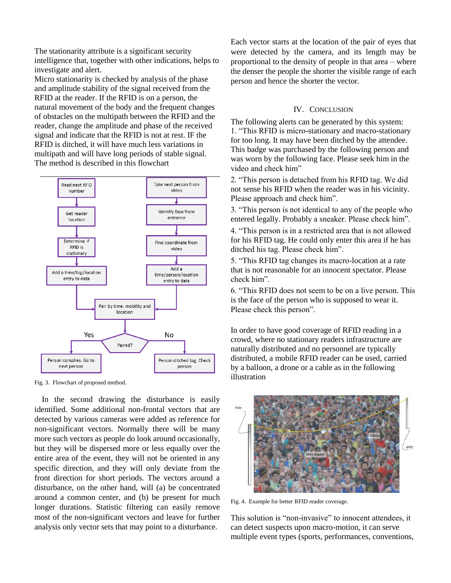The stationarity attribute is a significant security intelligence that, together with other indications, helps to investigate and alert.

Micro stationarity is checked by analysis of the phase and amplitude stability of the signal received from the RFID at the reader. If the RFID is on a person, the natural movement of the body and the frequent changes of obstacles on the multipath between the RFID and the reader, change the amplitude and phase of the received signal and indicate that the RFID is not at rest. IF the RFID is ditched, it will have much less variations in multipath and will have long periods of stable signal. The method is described in this flowchart



Fig. 3. Flowchart of proposed method.

In the second drawing the disturbance is easily identified. Some additional non-frontal vectors that are detected by various cameras were added as reference for non-significant vectors. Normally there will be many more such vectors as people do look around occasionally, but they will be dispersed more or less equally over the entire area of the event, they will not be oriented in any specific direction, and they will only deviate from the front direction for short periods. The vectors around a disturbance, on the other hand, will (a) be concentrated around a common center, and (b) be present for much longer durations. Statistic filtering can easily remove most of the non-significant vectors and leave for further analysis only vector sets that may point to a disturbance.

Each vector starts at the location of the pair of eyes that were detected by the camera, and its length may be proportional to the density of people in that area – where the denser the people the shorter the visible range of each person and hence the shorter the vector.

## IV. CONCLUSION

The following alerts can be generated by this system: 1. "This RFID is micro-stationary and macro-stationary for too long. It may have been ditched by the attendee. This badge was purchased by the following person and was worn by the following face. Please seek him in the video and check him"

2. "This person is detached from his RFID tag. We did not sense his RFID when the reader was in his vicinity. Please approach and check him".

3. "This person is not identical to any of the people who entered legally. Probably a sneaker. Please check him".

4. "This person is in a restricted area that is not allowed for his RFID tag. He could only enter this area if he has ditched his tag. Please check him".

5. "This RFID tag changes its macro-location at a rate that is not reasonable for an innocent spectator. Please check him".

6. "This RFID does not seem to be on a live person. This is the face of the person who is supposed to wear it. Please check this person".

In order to have good coverage of RFID reading in a crowd, where no stationary readers infrastructure are naturally distributed and no personnel are typically distributed, a mobile RFID reader can be used, carried by a balloon, a drone or a cable as in the following illustration



Fig. 4. Example for better RFID reader coverage.

This solution is "non-invasive" to innocent attendees, it can detect suspects upon macro-motion, it can serve multiple event types (sports, performances, conventions,